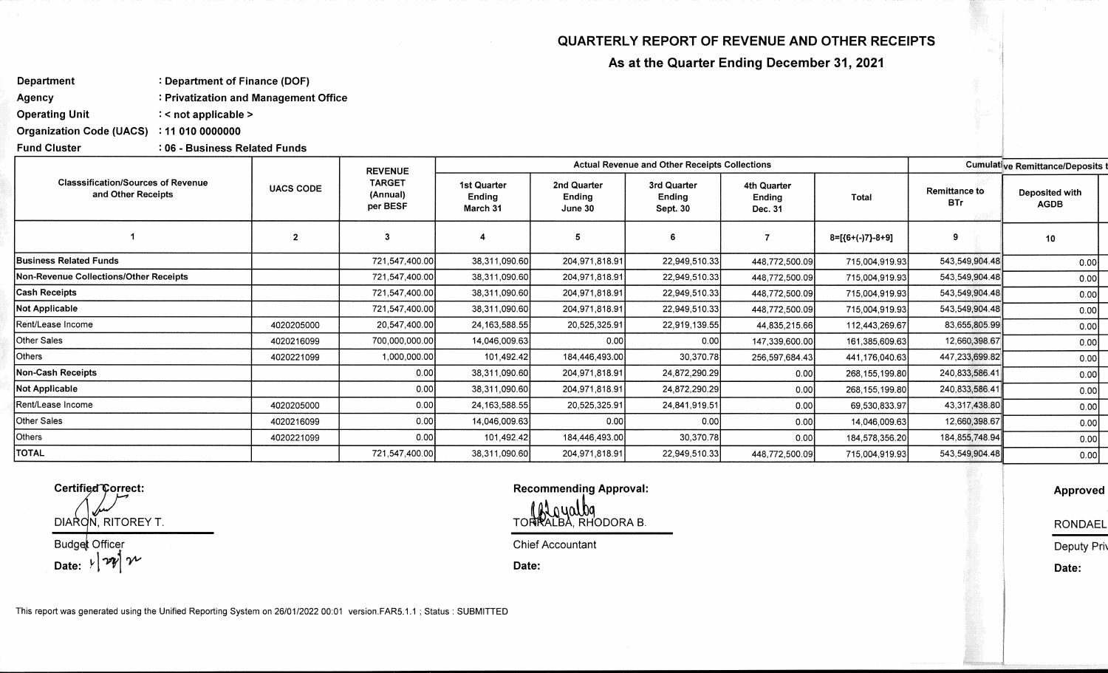## **QUARTERLY REPORT OF REVENUE AND OTHER RECEIPTS**

**As at the Quarter Ending December 31, 2021** 

**Department : Department of Finance (DOF)** 

**Agency : Privatization and Management Office** 

**Operating Unit : < not applicable >** 

**Organization Code (UACS) : 11 010 0000000** 

**Fund Cluster : 06 - Business Related Funds** 

| <b>Classsification/Sources of Revenue</b><br>and Other Receipts | <b>UACS CODE</b> | <b>REVENUE</b><br><b>TARGET</b><br>(Annual)<br>per BESF | <b>Actual Revenue and Other Receipts Collections</b> |                                  |                                   |                                  |                  | Cumulative Remittance/Deposits t   |                               |  |
|-----------------------------------------------------------------|------------------|---------------------------------------------------------|------------------------------------------------------|----------------------------------|-----------------------------------|----------------------------------|------------------|------------------------------------|-------------------------------|--|
|                                                                 |                  |                                                         | 1st Quarter<br>Ending<br>March 31                    | 2nd Quarter<br>Ending<br>June 30 | 3rd Quarter<br>Ending<br>Sept. 30 | 4th Quarter<br>Ending<br>Dec. 31 | Total            | <b>Remittance to</b><br><b>BTr</b> | Deposited with<br><b>AGDB</b> |  |
|                                                                 |                  | 3                                                       |                                                      | 5                                | 6                                 |                                  | 8=[{6+(-)7}-8+9] | 9                                  | 10                            |  |
| <b>Business Related Funds</b>                                   |                  | 721,547,400.00                                          | 38,311,090.60                                        | 204,971,818.91                   | 22,949,510.33                     | 448,772,500.09                   | 715,004,919.93   | 543,549,904.48                     | 0.00                          |  |
| Non-Revenue Collections/Other Receipts                          |                  | 721,547,400.00                                          | 38,311,090.60                                        | 204,971,818.91                   | 22,949,510.33                     | 448,772,500.09                   | 715,004,919.93   | 543,549,904.48                     | 0.00                          |  |
| <b>Cash Receipts</b>                                            |                  | 721,547,400.00                                          | 38,311,090.60                                        | 204,971,818.91                   | 22,949,510.33                     | 448,772,500.09                   | 715,004,919.93   | 543,549,904.48                     | 0.00                          |  |
| Not Applicable                                                  |                  | 721,547,400.00                                          | 38,311,090.60                                        | 204,971,818.91                   | 22,949,510.33                     | 448,772,500.09                   | 715,004,919.93   | 543,549,904.48                     | 0.00                          |  |
| Rent/Lease Income                                               | 4020205000       | 20,547,400.00                                           | 24, 163, 588.55                                      | 20,525,325.91                    | 22,919,139.55                     | 44,835,215.66                    | 112,443,269.67   | 83,655,805.99                      | 0.00                          |  |
| Other Sales                                                     | 4020216099       | 700,000,000.00                                          | 14,046,009.63                                        | 0.00                             | 0.00                              | 147,339,600.00                   | 161,385,609.63   | 12,660,398.67                      | 0.00                          |  |
| Others                                                          | 4020221099       | 1,000,000.00                                            | 101,492.42                                           | 184,446,493.00                   | 30,370.78                         | 256,597,684.43                   | 441,176,040.63   | 447,233,699.82                     | 0.00                          |  |
| <b>Non-Cash Receipts</b>                                        |                  | 0.00                                                    | 38,311,090.60                                        | 204,971,818.91                   | 24,872,290.29                     | 0.00                             | 268, 155, 199.80 | 240,833,586.41                     | 0.00                          |  |
| Not Applicable                                                  |                  | 0.00                                                    | 38,311,090.60                                        | 204,971,818.91                   | 24,872,290.29                     | 0.00                             | 268, 155, 199.80 | 240,833,586.41                     | 0.00                          |  |
| Rent/Lease Income                                               | 4020205000       | 0.00                                                    | 24, 163, 588.55                                      | 20,525,325.91                    | 24,841,919.51                     | 0.00                             | 69,530,833.97    | 43,317,438.80                      | 0.00                          |  |
| Other Sales                                                     | 4020216099       | 0.00                                                    | 14,046,009.63                                        | 0.00                             | 0.00                              | 0.00                             | 14,046,009.63    | 12,660,398.67                      | 0.00                          |  |
| Others                                                          | 4020221099       | 0.00                                                    | 101,492.42                                           | 184,446,493.00                   | 30,370.78                         | 0.00                             | 184,578,356.20   | 184, 855, 748. 94                  | 0.00                          |  |
| <b>TOTAL</b>                                                    |                  | 721,547,400.00                                          | 38,311,090.60                                        | 204,971,818.91                   | 22,949,510.33                     | 448,772,500.09                   | 715,004,919.93   | 543,549,904.48                     | 0.00                          |  |

**DIA N, RITOREY T. Budget Officer** 

Date:  $\nu |\nabla \psi|$   $\nu$ 

Certified Correct: **Certified Correct: Certified Correct: Certified Correct: Certified Correct: Certified Correct: CERTIFIED CORRECT: CERTIFIED CORRECT: CERTIFIED CORRECT: CERTIFIED CORRECT: CERTIFIED COR CONDUCTOR ALGUALDA**<br>TORRALBA, RHODORA B.

**Chief Accountant** 

**Date:** 

This report was generated using the Unified Reporting System on 26/01/2022 00:01 version.FAR5.1.1 ; Status : SUBMITTED

**Approved** 

**RONDAEL** 

**Deputy Priv** 

**Date:**